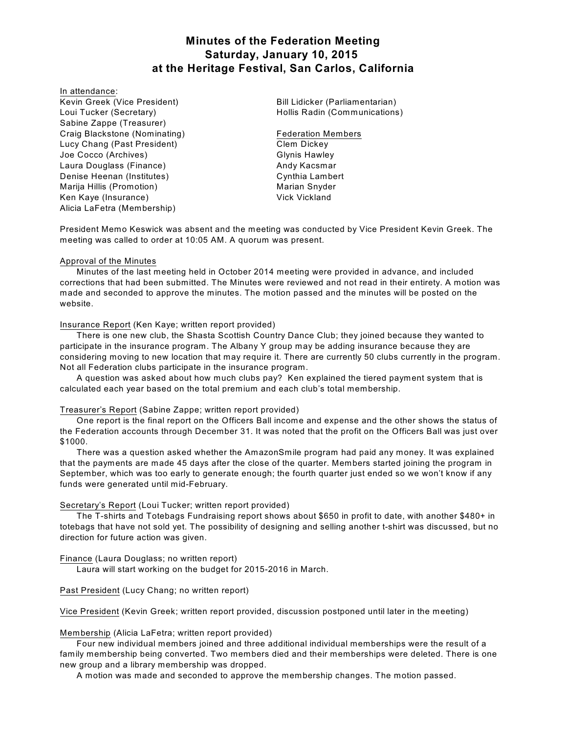# **Minutes of the Federation Meeting Saturday, January 10, 2015 at the Heritage Festival, San Carlos, California**

#### In attendance:

Kevin Greek (Vice President) Loui Tucker (Secretary) Sabine Zappe (Treasurer) Craig Blackstone (Nominating) Lucy Chang (Past President) Joe Cocco (Archives) Laura Douglass (Finance) Denise Heenan (Institutes) Marija Hillis (Promotion) Ken Kaye (Insurance) Alicia LaFetra (Membership)

Bill Lidicker (Parliamentarian) Hollis Radin (Communications)

Federation Members Clem Dickey Glynis Hawley Andy Kacsmar Cynthia Lambert Marian Snyder Vick Vickland

President Memo Keswick was absent and the meeting was conducted by Vice President Kevin Greek. The meeting was called to order at 10:05 AM. A quorum was present.

## Approval of the Minutes

Minutes of the last meeting held in October 2014 meeting were provided in advance, and included corrections that had been submitted. The Minutes were reviewed and not read in their entirety. A motion was made and seconded to approve the minutes. The motion passed and the minutes will be posted on the website.

## Insurance Report (Ken Kaye; written report provided)

There is one new club, the Shasta Scottish Country Dance Club; they joined because they wanted to participate in the insurance program. The Albany Y group may be adding insurance because they are considering moving to new location that may require it. There are currently 50 clubs currently in the program. Not all Federation clubs participate in the insurance program.

A question was asked about how much clubs pay? Ken explained the tiered payment system that is calculated each year based on the total premium and each club's total membership.

# Treasurer's Report (Sabine Zappe; written report provided)

One report is the final report on the Officers Ball income and expense and the other shows the status of the Federation accounts through December 31. It was noted that the profit on the Officers Ball was just over \$1000.

There was a question asked whether the AmazonSmile program had paid any money. It was explained that the payments are made 45 days after the close of the quarter. Members started joining the program in September, which was too early to generate enough; the fourth quarter just ended so we won't know if any funds were generated until mid-February.

# Secretary's Report (Loui Tucker; written report provided)

The T-shirts and Totebags Fundraising report shows about \$650 in profit to date, with another \$480+ in totebags that have not sold yet. The possibility of designing and selling another t-shirt was discussed, but no direction for future action was given.

## Finance (Laura Douglass; no written report)

Laura will start working on the budget for 2015-2016 in March.

## Past President (Lucy Chang; no written report)

Vice President (Kevin Greek; written report provided, discussion postponed until later in the meeting)

## Membership (Alicia LaFetra; written report provided)

Four new individual members joined and three additional individual memberships were the result of a family membership being converted. Two members died and their memberships were deleted. There is one new group and a library membership was dropped.

A motion was made and seconded to approve the membership changes. The motion passed.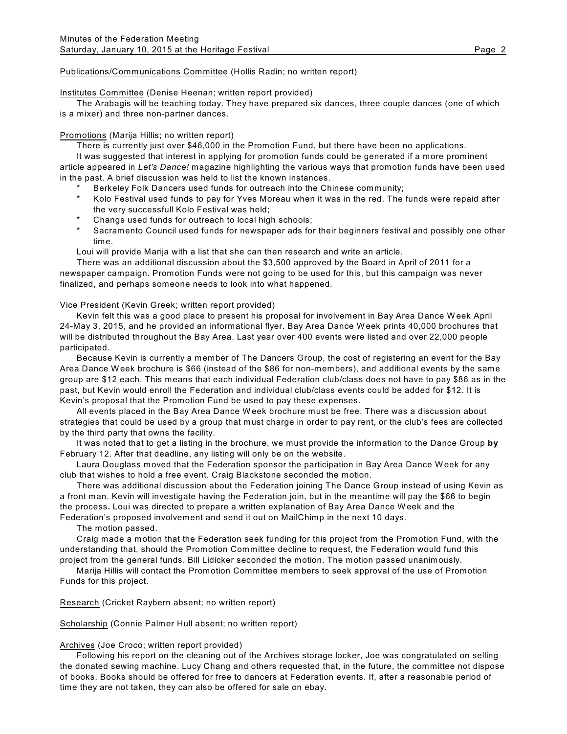## Publications/Communications Committee (Hollis Radin; no written report)

#### Institutes Committee (Denise Heenan; written report provided)

The Arabagis will be teaching today. They have prepared six dances, three couple dances (one of which is a mixer) and three non-partner dances.

## Promotions (Marija Hillis; no written report)

There is currently just over \$46,000 in the Promotion Fund, but there have been no applications.

It was suggested that interest in applying for promotion funds could be generated if a more prominent article appeared in *Let's Dance!* magazine highlighting the various ways that promotion funds have been used in the past. A brief discussion was held to list the known instances.

- Berkeley Folk Dancers used funds for outreach into the Chinese community;
- Kolo Festival used funds to pay for Yves Moreau when it was in the red. The funds were repaid after the very successfull Kolo Festival was held;
- Changs used funds for outreach to local high schools;
- Sacramento Council used funds for newspaper ads for their beginners festival and possibly one other time.

Loui will provide Marija with a list that she can then research and write an article.

There was an additional discussion about the \$3,500 approved by the Board in April of 2011 for a newspaper campaign. Promotion Funds were not going to be used for this, but this campaign was never finalized, and perhaps someone needs to look into what happened.

## Vice President (Kevin Greek; written report provided)

Kevin felt this was a good place to present his proposal for involvement in Bay Area Dance W eek April 24-May 3, 2015, and he provided an informational flyer. Bay Area Dance W eek prints 40,000 brochures that will be distributed throughout the Bay Area. Last year over 400 events were listed and over 22,000 people participated.

Because Kevin is currently a member of The Dancers Group, the cost of registering an event for the Bay Area Dance Week brochure is \$66 (instead of the \$86 for non-members), and additional events by the same group are \$12 each. This means that each individual Federation club/class does not have to pay \$86 as in the past, but Kevin would enroll the Federation and individual club/class events could be added for \$12. It is Kevin's proposal that the Promotion Fund be used to pay these expenses.

All events placed in the Bay Area Dance W eek brochure must be free. There was a discussion about strategies that could be used by a group that must charge in order to pay rent, or the club's fees are collected by the third party that owns the facility.

It was noted that to get a listing in the brochure, we must provide the information to the Dance Group **by** February 12. After that deadline, any listing will only be on the website.

Laura Douglass moved that the Federation sponsor the participation in Bay Area Dance W eek for any club that wishes to hold a free event. Craig Blackstone seconded the motion.

There was additional discussion about the Federation joining The Dance Group instead of using Kevin as a front man. Kevin will investigate having the Federation join, but in the meantime will pay the \$66 to begin the process**.** Loui was directed to prepare a written explanation of Bay Area Dance W eek and the Federation's proposed involvement and send it out on MailChimp in the next 10 days.

The motion passed.

Craig made a motion that the Federation seek funding for this project from the Promotion Fund, with the understanding that, should the Promotion Committee decline to request, the Federation would fund this project from the general funds. Bill Lidicker seconded the motion. The motion passed unanimously.

Marija Hillis will contact the Promotion Committee members to seek approval of the use of Promotion Funds for this project.

Research (Cricket Raybern absent; no written report)

Scholarship (Connie Palmer Hull absent; no written report)

# Archives (Joe Croco; written report provided)

Following his report on the cleaning out of the Archives storage locker, Joe was congratulated on selling the donated sewing machine. Lucy Chang and others requested that, in the future, the committee not dispose of books. Books should be offered for free to dancers at Federation events. If, after a reasonable period of time they are not taken, they can also be offered for sale on ebay.